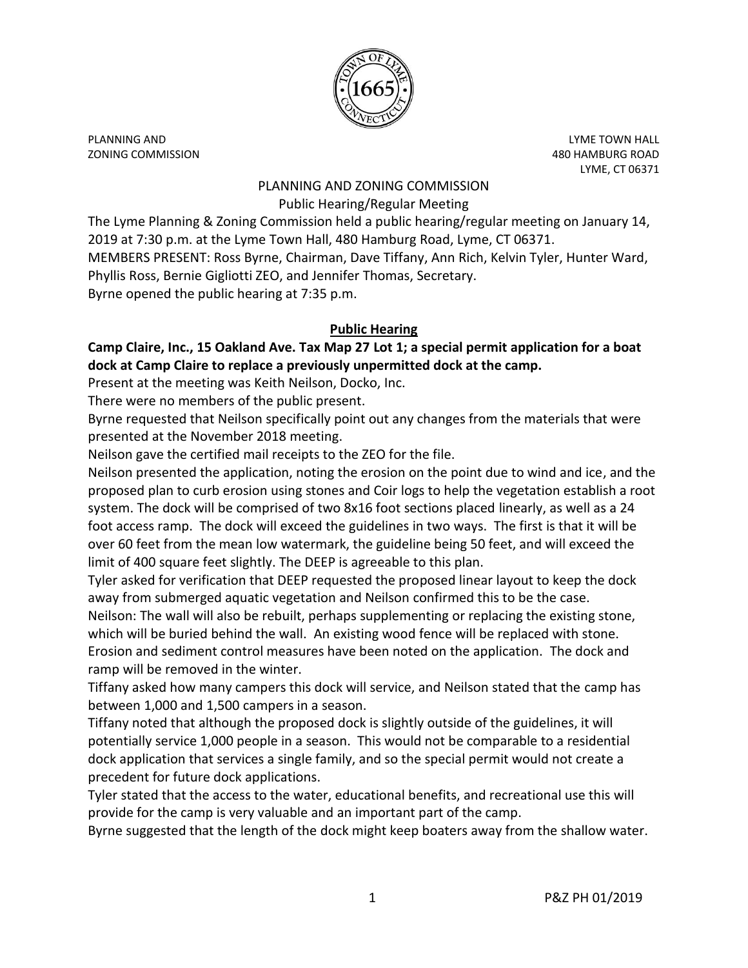

PLANNING AND LYME TOWN HALL ZONING COMMISSION 480 HAMBURG ROAD

LYME, CT 06371

### PLANNING AND ZONING COMMISSION Public Hearing/Regular Meeting

The Lyme Planning & Zoning Commission held a public hearing/regular meeting on January 14, 2019 at 7:30 p.m. at the Lyme Town Hall, 480 Hamburg Road, Lyme, CT 06371. MEMBERS PRESENT: Ross Byrne, Chairman, Dave Tiffany, Ann Rich, Kelvin Tyler, Hunter Ward, Phyllis Ross, Bernie Gigliotti ZEO, and Jennifer Thomas, Secretary. Byrne opened the public hearing at 7:35 p.m.

# **Public Hearing**

**Camp Claire, Inc., 15 Oakland Ave. Tax Map 27 Lot 1; a special permit application for a boat dock at Camp Claire to replace a previously unpermitted dock at the camp.**

Present at the meeting was Keith Neilson, Docko, Inc.

There were no members of the public present.

Byrne requested that Neilson specifically point out any changes from the materials that were presented at the November 2018 meeting.

Neilson gave the certified mail receipts to the ZEO for the file.

Neilson presented the application, noting the erosion on the point due to wind and ice, and the proposed plan to curb erosion using stones and Coir logs to help the vegetation establish a root system. The dock will be comprised of two 8x16 foot sections placed linearly, as well as a 24 foot access ramp. The dock will exceed the guidelines in two ways. The first is that it will be over 60 feet from the mean low watermark, the guideline being 50 feet, and will exceed the limit of 400 square feet slightly. The DEEP is agreeable to this plan.

Tyler asked for verification that DEEP requested the proposed linear layout to keep the dock away from submerged aquatic vegetation and Neilson confirmed this to be the case.

Neilson: The wall will also be rebuilt, perhaps supplementing or replacing the existing stone, which will be buried behind the wall. An existing wood fence will be replaced with stone. Erosion and sediment control measures have been noted on the application. The dock and

ramp will be removed in the winter.

Tiffany asked how many campers this dock will service, and Neilson stated that the camp has between 1,000 and 1,500 campers in a season.

Tiffany noted that although the proposed dock is slightly outside of the guidelines, it will potentially service 1,000 people in a season. This would not be comparable to a residential dock application that services a single family, and so the special permit would not create a precedent for future dock applications.

Tyler stated that the access to the water, educational benefits, and recreational use this will provide for the camp is very valuable and an important part of the camp.

Byrne suggested that the length of the dock might keep boaters away from the shallow water.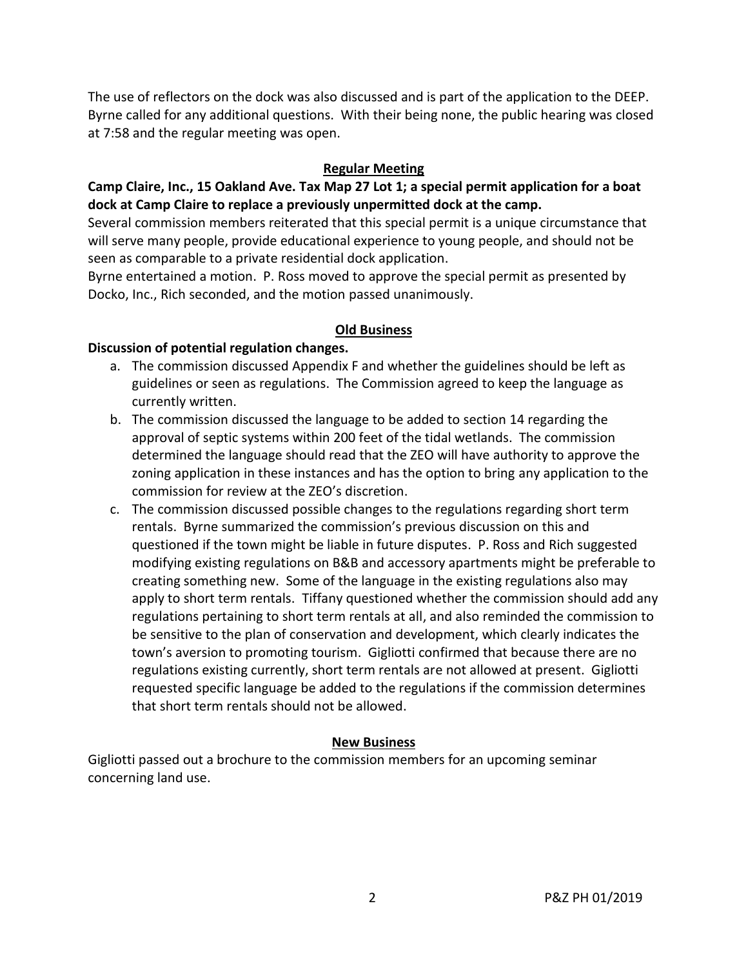The use of reflectors on the dock was also discussed and is part of the application to the DEEP. Byrne called for any additional questions. With their being none, the public hearing was closed at 7:58 and the regular meeting was open.

### **Regular Meeting**

**Camp Claire, Inc., 15 Oakland Ave. Tax Map 27 Lot 1; a special permit application for a boat dock at Camp Claire to replace a previously unpermitted dock at the camp.**

Several commission members reiterated that this special permit is a unique circumstance that will serve many people, provide educational experience to young people, and should not be seen as comparable to a private residential dock application.

Byrne entertained a motion. P. Ross moved to approve the special permit as presented by Docko, Inc., Rich seconded, and the motion passed unanimously.

### **Old Business**

### **Discussion of potential regulation changes.**

- a. The commission discussed Appendix F and whether the guidelines should be left as guidelines or seen as regulations. The Commission agreed to keep the language as currently written.
- b. The commission discussed the language to be added to section 14 regarding the approval of septic systems within 200 feet of the tidal wetlands. The commission determined the language should read that the ZEO will have authority to approve the zoning application in these instances and has the option to bring any application to the commission for review at the ZEO's discretion.
- c. The commission discussed possible changes to the regulations regarding short term rentals. Byrne summarized the commission's previous discussion on this and questioned if the town might be liable in future disputes. P. Ross and Rich suggested modifying existing regulations on B&B and accessory apartments might be preferable to creating something new. Some of the language in the existing regulations also may apply to short term rentals. Tiffany questioned whether the commission should add any regulations pertaining to short term rentals at all, and also reminded the commission to be sensitive to the plan of conservation and development, which clearly indicates the town's aversion to promoting tourism. Gigliotti confirmed that because there are no regulations existing currently, short term rentals are not allowed at present. Gigliotti requested specific language be added to the regulations if the commission determines that short term rentals should not be allowed.

#### **New Business**

Gigliotti passed out a brochure to the commission members for an upcoming seminar concerning land use.